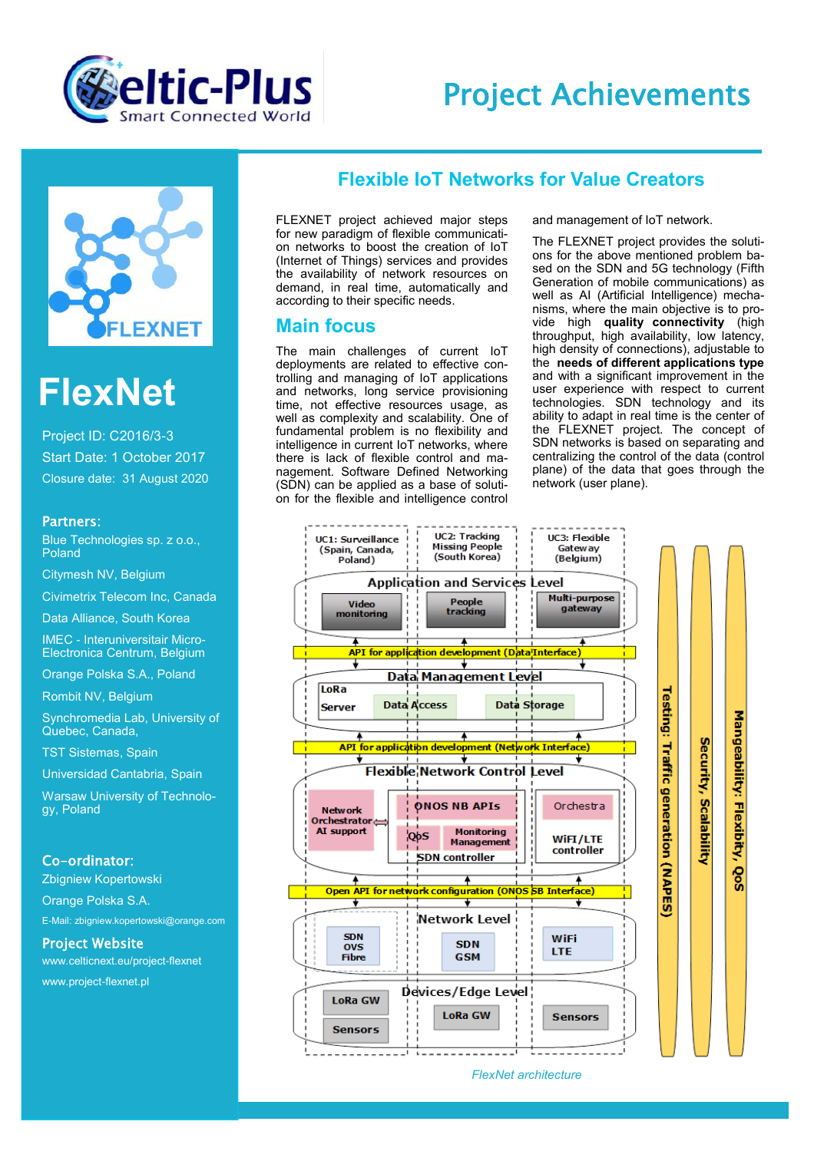

## Project Achievements



# **FlexNet**

Project ID: C2016/3-3 Start Date: 1 October 2017 Closure date: 31 August 2020

#### Partners:

Blue Technologies sp. z o.o., Poland

Citymesh NV, Belgium

Civimetrix Telecom Inc, Canada

Data Alliance, South Korea

IMEC - Interuniversitair Micro-Electronica Centrum, Belgium

Orange Polska S.A., Poland

Rombit NV, Belgium

Synchromedia Lab, University of Quebec, Canada,

TST Sistemas, Spain

Universidad Cantabria, Spain

Warsaw University of Technology, Poland

#### Co-ordinator:

Zbigniew Kopertowski Orange Polska S.A. E-Mail: zbigniew.kopertowski@orange.com

#### Project Website

www.celticnext.eu/project-flexnet www.project-flexnet.pl

### **Flexible IoT Networks for Value Creators**

FLEXNET project achieved major steps for new paradigm of flexible communication networks to boost the creation of IoT (Internet of Things) services and provides the availability of network resources on demand, in real time, automatically and according to their specific needs.

#### **Main focus**

The main challenges of current IoT deployments are related to effective controlling and managing of IoT applications and networks, long service provisioning time, not effective resources usage, as well as complexity and scalability. One of fundamental problem is no flexibility and intelligence in current IoT networks, where there is lack of flexible control and management. Software Defined Networking (SDN) can be applied as a base of solution for the flexible and intelligence control and management of IoT network.

The FLEXNET project provides the solutions for the above mentioned problem based on the SDN and 5G technology (Fifth Generation of mobile communications) as well as AI (Artificial Intelligence) mechanisms, where the main objective is to provide high **quality connectivity** (high throughput, high availability, low latency, high density of connections), adjustable to the **needs of different applications type** and with a significant improvement in the user experience with respect to current technologies. SDN technology and its ability to adapt in real time is the center of the FLEXNET project. The concept of SDN networks is based on separating and centralizing the control of the data (control plane) of the data that goes through the network (user plane).



*FlexNet architecture*